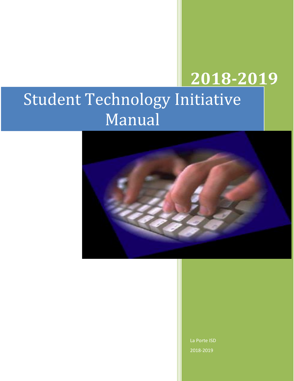# **2018-2019** Student Technology Initiative



La Porte ISD 2018-2019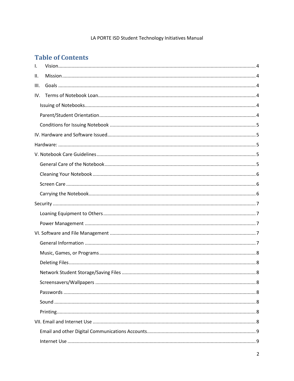## LA PORTE ISD Student Technology Initiatives Manual

# **Table of Contents**

| Ι.   |  |  |
|------|--|--|
| Ш.   |  |  |
| III. |  |  |
| IV.  |  |  |
|      |  |  |
|      |  |  |
|      |  |  |
|      |  |  |
|      |  |  |
|      |  |  |
|      |  |  |
|      |  |  |
|      |  |  |
|      |  |  |
|      |  |  |
|      |  |  |
|      |  |  |
|      |  |  |
|      |  |  |
|      |  |  |
|      |  |  |
|      |  |  |
|      |  |  |
|      |  |  |
|      |  |  |
|      |  |  |
|      |  |  |
|      |  |  |
|      |  |  |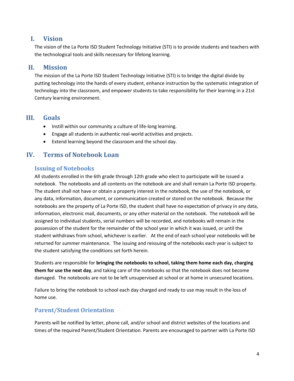# <span id="page-3-0"></span>**I. Vision**

The vision of the La Porte ISD Student Technology Initiative (STI) is to provide students and teachers with the technological tools and skills necessary for lifelong learning.

## <span id="page-3-1"></span>**II. Mission**

The mission of the La Porte ISD Student Technology Initiative (STI) is to bridge the digital divide by putting technology into the hands of every student, enhance instruction by the systematic integration of technology into the classroom, and empower students to take responsibility for their learning in a 21st Century learning environment.

# <span id="page-3-2"></span>**III. Goals**

- Instill within our community a culture of life-long learning.
- Engage all students in authentic real-world activities and projects.
- Extend learning beyond the classroom and the school day.

# <span id="page-3-3"></span>**IV. Terms of Notebook Loan**

## <span id="page-3-4"></span>**Issuing of Notebooks**

All students enrolled in the 6th grade through 12th grade who elect to participate will be issued a notebook. The notebooks and all contents on the notebook are and shall remain La Porte ISD property. The student shall not have or obtain a property interest in the notebook, the use of the notebook, or any data, information, document, or communication created or stored on the notebook. Because the notebooks are the property of La Porte ISD, the student shall have no expectation of privacy in any data, information, electronic mail, documents, or any other material on the notebook. The notebook will be assigned to individual students, serial numbers will be recorded, and notebooks will remain in the possession of the student for the remainder of the school year in which it was issued, or until the student withdraws from school, whichever is earlier. At the end of each school year notebooks will be returned for summer maintenance. The issuing and reissuing of the notebooks each year is subject to the student satisfying the conditions set forth herein.

Students are responsible for **bringing the notebooks to school, taking them home each day, charging them for use the next day**, and taking care of the notebooks so that the notebook does not become damaged. The notebooks are not to be left unsupervised at school or at home in unsecured locations.

Failure to bring the notebook to school each day charged and ready to use may result in the loss of home use.

# <span id="page-3-5"></span>**Parent/Student Orientation**

Parents will be notified by letter, phone call, and/or school and district websites of the locations and times of the required Parent/Student Orientation. Parents are encouraged to partner with La Porte ISD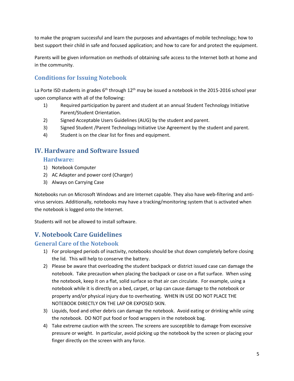to make the program successful and learn the purposes and advantages of mobile technology; how to best support their child in safe and focused application; and how to care for and protect the equipment.

Parents will be given information on methods of obtaining safe access to the Internet both at home and in the community.

# <span id="page-4-0"></span>**Conditions for Issuing Notebook**

La Porte ISD students in grades 6<sup>th</sup> through 12<sup>th</sup> may be issued a notebook in the 2015-2016 school year upon compliance with all of the following:

- 1) Required participation by parent and student at an annual Student Technology Initiative Parent/Student Orientation.
- 2) Signed Acceptable Users Guidelines (AUG) by the student and parent.
- 3) Signed Student /Parent Technology Initiative Use Agreement by the student and parent.
- 4) Student is on the clear list for fines and equipment.

# <span id="page-4-2"></span><span id="page-4-1"></span>**IV. Hardware and Software Issued**

#### **Hardware:**

- 1) Notebook Computer
- 2) AC Adapter and power cord (Charger)
- 3) Always on Carrying Case

Notebooks run on Microsoft Windows and are Internet capable. They also have web-filtering and antivirus services. Additionally, notebooks may have a tracking/monitoring system that is activated when the notebook is logged onto the Internet.

Students will not be allowed to install software.

# <span id="page-4-3"></span>**V. Notebook Care Guidelines**

## <span id="page-4-4"></span>**General Care of the Notebook**

- 1) For prolonged periods of inactivity, notebooks should be shut down completely before closing the lid. This will help to conserve the battery.
- 2) Please be aware that overloading the student backpack or district issued case can damage the notebook. Take precaution when placing the backpack or case on a flat surface. When using the notebook, keep it on a flat, solid surface so that air can circulate. For example, using a notebook while it is directly on a bed, carpet, or lap can cause damage to the notebook or property and/or physical injury due to overheating. WHEN IN USE DO NOT PLACE THE NOTEBOOK DIRECTLY ON THE LAP OR EXPOSED SKIN.
- 3) Liquids, food and other debris can damage the notebook. Avoid eating or drinking while using the notebook. DO NOT put food or food wrappers in the notebook bag.
- 4) Take extreme caution with the screen. The screens are susceptible to damage from excessive pressure or weight. In particular, avoid picking up the notebook by the screen or placing your finger directly on the screen with any force.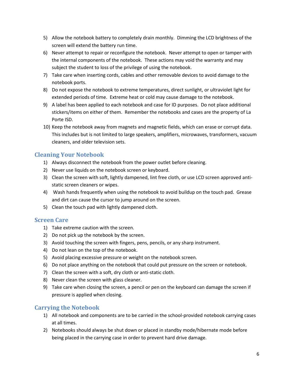- 5) Allow the notebook battery to completely drain monthly. Dimming the LCD brightness of the screen will extend the battery run time.
- 6) Never attempt to repair or reconfigure the notebook. Never attempt to open or tamper with the internal components of the notebook. These actions may void the warranty and may subject the student to loss of the privilege of using the notebook.
- 7) Take care when inserting cords, cables and other removable devices to avoid damage to the notebook ports.
- 8) Do not expose the notebook to extreme temperatures, direct sunlight, or ultraviolet light for extended periods of time. Extreme heat or cold may cause damage to the notebook.
- 9) A label has been applied to each notebook and case for ID purposes. Do not place additional stickers/items on either of them. Remember the notebooks and cases are the property of La Porte ISD.
- 10) Keep the notebook away from magnets and magnetic fields, which can erase or corrupt data. This includes but is not limited to large speakers, amplifiers, microwaves, transformers, vacuum cleaners, and older television sets.

## <span id="page-5-0"></span>**Cleaning Your Notebook**

- 1) Always disconnect the notebook from the power outlet before cleaning.
- 2) Never use liquids on the notebook screen or keyboard.
- 3) Clean the screen with soft, lightly dampened, lint free cloth, or use LCD screen approved antistatic screen cleaners or wipes.
- 4) Wash hands frequently when using the notebook to avoid buildup on the touch pad. Grease and dirt can cause the cursor to jump around on the screen.
- 5) Clean the touch pad with lightly dampened cloth.

## <span id="page-5-1"></span>**Screen Care**

- 1) Take extreme caution with the screen.
- 2) Do not pick up the notebook by the screen.
- 3) Avoid touching the screen with fingers, pens, pencils, or any sharp instrument.
- 4) Do not lean on the top of the notebook.
- 5) Avoid placing excessive pressure or weight on the notebook screen.
- 6) Do not place anything on the notebook that could put pressure on the screen or notebook.
- 7) Clean the screen with a soft, dry cloth or anti-static cloth.
- 8) Never clean the screen with glass cleaner.
- 9) Take care when closing the screen, a pencil or pen on the keyboard can damage the screen if pressure is applied when closing.

# <span id="page-5-2"></span>**Carrying the Notebook**

- 1) All notebook and components are to be carried in the school-provided notebook carrying cases at all times.
- 2) Notebooks should always be shut down or placed in standby mode/hibernate mode before being placed in the carrying case in order to prevent hard drive damage.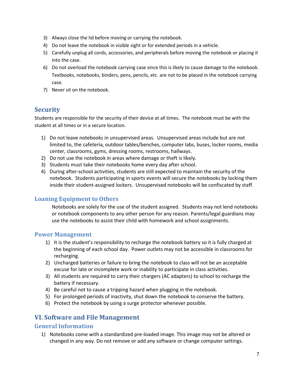- 3) Always close the lid before moving or carrying the notebook.
- 4) Do not leave the notebook in visible sight or for extended periods in a vehicle.
- 5) Carefully unplug all cords, accessories, and peripherals before moving the notebook or placing it into the case.
- 6) Do not overload the notebook carrying case since this is likely to cause damage to the notebook. Textbooks, notebooks, binders, pens, pencils, etc. are not to be placed in the notebook carrying case.
- 7) Never sit on the notebook.

# <span id="page-6-0"></span>**Security**

Students are responsible for the security of their device at all times. The notebook must be with the student at all times or in a secure location.

- 1) Do not leave notebooks in unsupervised areas. Unsupervised areas include but are not limited to, the cafeteria, outdoor tables/benches, computer labs, buses, locker rooms, media center, classrooms, gyms, dressing rooms, restrooms, hallways.
- 2) Do not use the notebook in areas where damage or theft is likely.
- 3) Students must take their notebooks home every day after school.
- 4) During after-school activities, students are still expected to maintain the security of the notebook. Students participating in sports events will secure the notebooks by locking them inside their student-assigned lockers. Unsupervised notebooks will be confiscated by staff.

#### <span id="page-6-1"></span>**Loaning Equipment to Others**

Notebooks are solely for the use of the student assigned. Students may not lend notebooks or notebook components to any other person for any reason. Parents/legal guardians may use the notebooks to assist their child with homework and school assignments.

#### <span id="page-6-2"></span>**Power Management**

- 1) It is the student's responsibility to recharge the notebook battery so it is fully charged at the beginning of each school day. Power outlets may not be accessible in classrooms for recharging.
- 2) Uncharged batteries or failure to bring the notebook to class will not be an acceptable excuse for late or incomplete work or inability to participate in class activities.
- 3) All students are required to carry their chargers (AC adapters) to school to recharge the battery if necessary.
- 4) Be careful not to cause a tripping hazard when plugging in the notebook.
- 5) For prolonged periods of inactivity, shut down the notebook to conserve the battery.
- 6) Protect the notebook by using a surge protector whenever possible.

## <span id="page-6-3"></span>**VI. Software and File Management**

#### <span id="page-6-4"></span>**General Information**

1) Notebooks come with a standardized pre-loaded image. This image may not be altered or changed in any way. Do not remove or add any software or change computer settings.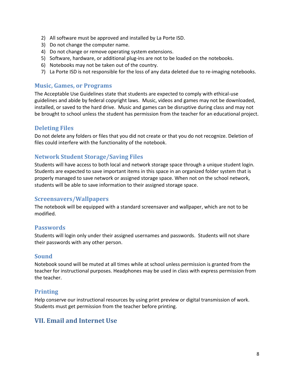- 2) All software must be approved and installed by La Porte ISD.
- 3) Do not change the computer name.
- 4) Do not change or remove operating system extensions.
- 5) Software, hardware, or additional plug-ins are not to be loaded on the notebooks.
- 6) Notebooks may not be taken out of the country.
- 7) La Porte ISD is not responsible for the loss of any data deleted due to re-imaging notebooks.

#### <span id="page-7-0"></span>**Music, Games, or Programs**

The Acceptable Use Guidelines state that students are expected to comply with ethical-use guidelines and abide by federal copyright laws. Music, videos and games may not be downloaded, installed, or saved to the hard drive. Music and games can be disruptive during class and may not be brought to school unless the student has permission from the teacher for an educational project.

#### <span id="page-7-1"></span>**Deleting Files**

Do not delete any folders or files that you did not create or that you do not recognize. Deletion of files could interfere with the functionality of the notebook.

## <span id="page-7-2"></span>**Network Student Storage/Saving Files**

Students will have access to both local and network storage space through a unique student login. Students are expected to save important items in this space in an organized folder system that is properly managed to save network or assigned storage space. When not on the school network, students will be able to save information to their assigned storage space.

#### <span id="page-7-3"></span>**Screensavers/Wallpapers**

The notebook will be equipped with a standard screensaver and wallpaper, which are not to be modified.

#### <span id="page-7-4"></span>**Passwords**

Students will login only under their assigned usernames and passwords. Students will not share their passwords with any other person.

#### <span id="page-7-5"></span>**Sound**

Notebook sound will be muted at all times while at school unless permission is granted from the teacher for instructional purposes. Headphones may be used in class with express permission from the teacher.

#### <span id="page-7-6"></span>**Printing**

Help conserve our instructional resources by using print preview or digital transmission of work. Students must get permission from the teacher before printing.

# <span id="page-7-7"></span>**VII. Email and Internet Use**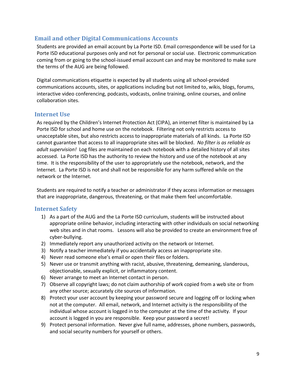## <span id="page-8-0"></span>**Email and other Digital Communications Accounts**

Students are provided an email account by La Porte ISD. Email correspondence will be used for La Porte ISD educational purposes only and not for personal or social use. Electronic communication coming from or going to the school-issued email account can and may be monitored to make sure the terms of the AUG are being followed.

Digital communications etiquette is expected by all students using all school-provided communications accounts, sites, or applications including but not limited to, wikis, blogs, forums, interactive video conferencing, podcasts, vodcasts, online training, online courses, and online collaboration sites.

#### <span id="page-8-1"></span>**Internet Use**

As required by the Children's Internet Protection Act (CIPA), an internet filter is maintained by La Porte ISD for school and home use on the notebook. Filtering not only restricts access to unacceptable sites, but also restricts access to inappropriate materials of all kinds. La Porte ISD cannot guarantee that access to all inappropriate sites will be blocked. *No filter is as reliable as adult supervision!* Log files are maintained on each notebook with a detailed history of all sites accessed. La Porte ISD has the authority to review the history and use of the notebook at any time. It is the responsibility of the user to appropriately use the notebook, network, and the Internet. La Porte ISD is not and shall not be responsible for any harm suffered while on the network or the Internet.

Students are required to notify a teacher or administrator if they access information or messages that are inappropriate, dangerous, threatening, or that make them feel uncomfortable.

## <span id="page-8-2"></span>**Internet Safety**

- 1) As a part of the AUG and the La Porte ISD curriculum, students will be instructed about appropriate online behavior, including interacting with other individuals on social networking web sites and in chat rooms. Lessons will also be provided to create an environment free of cyber-bullying.
- 2) Immediately report any unauthorized activity on the network or Internet.
- 3) Notify a teacher immediately if you accidentally access an inappropriate site.
- 4) Never read someone else's email or open their files or folders.
- 5) Never use or transmit anything with racist, abusive, threatening, demeaning, slanderous, objectionable, sexually explicit, or inflammatory content.
- 6) Never arrange to meet an Internet contact in person.
- 7) Observe all copyright laws; do not claim authorship of work copied from a web site or from any other source; accurately cite sources of information.
- 8) Protect your user account by keeping your password secure and logging off or locking when not at the computer. All email, network, and Internet activity is the responsibility of the individual whose account is logged in to the computer at the time of the activity. If your account is logged in you are responsible. Keep your password a secret!
- 9) Protect personal information. Never give full name, addresses, phone numbers, passwords, and social security numbers for yourself or others.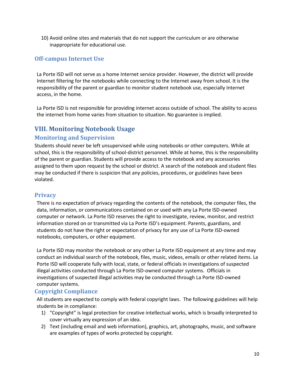10) Avoid online sites and materials that do not support the curriculum or are otherwise inappropriate for educational use.

## <span id="page-9-0"></span>**Off-campus Internet Use**

La Porte ISD will not serve as a home Internet service provider. However, the district will provide Internet filtering for the notebooks while connecting to the Internet away from school. It is the responsibility of the parent or guardian to monitor student notebook use, especially Internet access, in the home.

La Porte ISD is not responsible for providing internet access outside of school. The ability to access the internet from home varies from situation to situation. No guarantee is implied.

# <span id="page-9-1"></span>**VIII. Monitoring Notebook Usage**

## <span id="page-9-2"></span>**Monitoring and Supervision**

Students should never be left unsupervised while using notebooks or other computers. While at school, this is the responsibility of school-district personnel. While at home, this is the responsibility of the parent or guardian. Students will provide access to the notebook and any accessories assigned to them upon request by the school or district. A search of the notebook and student files may be conducted if there is suspicion that any policies, procedures, or guidelines have been violated.

## <span id="page-9-3"></span>**Privacy**

There is no expectation of privacy regarding the contents of the notebook, the computer files, the data, information, or communications contained on or used with any La Porte ISD-owned computer or network. La Porte ISD reserves the right to investigate, review, monitor, and restrict information stored on or transmitted via La Porte ISD's equipment. Parents, guardians, and students do not have the right or expectation of privacy for any use of La Porte ISD-owned notebooks, computers, or other equipment.

La Porte ISD may monitor the notebook or any other La Porte ISD equipment at any time and may conduct an individual search of the notebook, files, music, videos, emails or other related items. La Porte ISD will cooperate fully with local, state, or federal officials in investigations of suspected illegal activities conducted through La Porte ISD-owned computer systems. Officials in investigations of suspected illegal activities may be conducted through La Porte ISD-owned computer systems.

## <span id="page-9-4"></span>**Copyright Compliance**

All students are expected to comply with federal copyright laws. The following guidelines will help students be in compliance:

- 1) "Copyright" is legal protection for creative intellectual works, which is broadly interpreted to cover virtually any expression of an idea.
- 2) Text (including email and web information), graphics, art, photographs, music, and software are examples of types of works protected by copyright.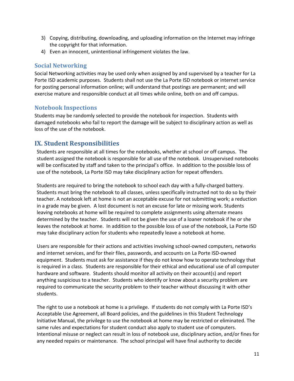- 3) Copying, distributing, downloading, and uploading information on the Internet may infringe the copyright for that information.
- 4) Even an innocent, unintentional infringement violates the law.

#### <span id="page-10-0"></span>**Social Networking**

Social Networking activities may be used only when assigned by and supervised by a teacher for La Porte ISD academic purposes. Students shall not use the La Porte ISD notebook or internet service for posting personal information online; will understand that postings are permanent; and will exercise mature and responsible conduct at all times while online, both on and off campus.

#### <span id="page-10-1"></span>**Notebook Inspections**

Students may be randomly selected to provide the notebook for inspection. Students with damaged notebooks who fail to report the damage will be subject to disciplinary action as well as loss of the use of the notebook.

# <span id="page-10-2"></span>**IX. Student Responsibilities**

Students are responsible at all times for the notebooks, whether at school or off campus. The student assigned the notebook is responsible for all use of the notebook. Unsupervised notebooks will be confiscated by staff and taken to the principal's office. In addition to the possible loss of use of the notebook, La Porte ISD may take disciplinary action for repeat offenders.

Students are required to bring the notebook to school each day with a fully-charged battery. Students must bring the notebook to all classes, unless specifically instructed not to do so by their teacher. A notebook left at home is not an acceptable excuse for not submitting work; a reduction in a grade may be given. A lost document is not an excuse for late or missing work. Students leaving notebooks at home will be required to complete assignments using alternate means determined by the teacher. Students will not be given the use of a loaner notebook if he or she leaves the notebook at home. In addition to the possible loss of use of the notebook, La Porte ISD may take disciplinary action for students who repeatedly leave a notebook at home.

Users are responsible for their actions and activities involving school-owned computers, networks and internet services, and for their files, passwords, and accounts on La Porte ISD-owned equipment. Students must ask for assistance if they do not know how to operate technology that is required in a class. Students are responsible for their ethical and educational use of all computer hardware and software. Students should monitor all activity on their account(s) and report anything suspicious to a teacher. Students who identify or know about a security problem are required to communicate the security problem to their teacher without discussing it with other students.

The right to use a notebook at home is a privilege. If students do not comply with La Porte ISD's Acceptable Use Agreement, all Board policies, and the guidelines in this Student Technology Initiative Manual, the privilege to use the notebook at home may be restricted or eliminated. The same rules and expectations for student conduct also apply to student use of computers. Intentional misuse or neglect can result in loss of notebook use, disciplinary action, and/or fines for any needed repairs or maintenance. The school principal will have final authority to decide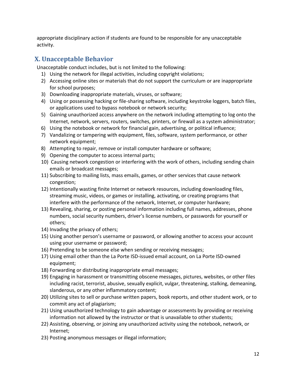appropriate disciplinary action if students are found to be responsible for any unacceptable activity.

# <span id="page-11-0"></span>**X. Unacceptable Behavior**

Unacceptable conduct includes, but is not limited to the following:

- 1) Using the network for illegal activities, including copyright violations;
- 2) Accessing online sites or materials that do not support the curriculum or are inappropriate for school purposes;
- 3) Downloading inappropriate materials, viruses, or software;
- 4) Using or possessing hacking or file-sharing software, including keystroke loggers, batch files, or applications used to bypass notebook or network security;
- 5) Gaining unauthorized access anywhere on the network including attempting to log onto the Internet, network, servers, routers, switches, printers, or firewall as a system administrator;
- 6) Using the notebook or network for financial gain, advertising, or political influence;
- 7) Vandalizing or tampering with equipment, files, software, system performance, or other network equipment;
- 8) Attempting to repair, remove or install computer hardware or software;
- 9) Opening the computer to access internal parts;
- 10) Causing network congestion or interfering with the work of others, including sending chain emails or broadcast messages;
- 11) Subscribing to mailing lists, mass emails, games, or other services that cause network congestion;
- 12) Intentionally wasting finite Internet or network resources, including downloading files, streaming music, videos, or games or installing, activating, or creating programs that interfere with the performance of the network, Internet, or computer hardware;
- 13) Revealing, sharing, or posting personal information including full names, addresses, phone numbers, social security numbers, driver's license numbers, or passwords for yourself or others;
- 14) Invading the privacy of others;
- 15) Using another person's username or password, or allowing another to access your account using your username or password;
- 16) Pretending to be someone else when sending or receiving messages;
- 17) Using email other than the La Porte ISD-issued email account, on La Porte ISD-owned equipment;
- 18) Forwarding or distributing inappropriate email messages;
- 19) Engaging in harassment or transmitting obscene messages, pictures, websites, or other files including racist, terrorist, abusive, sexually explicit, vulgar, threatening, stalking, demeaning, slanderous, or any other inflammatory content;
- 20) Utilizing sites to sell or purchase written papers, book reports, and other student work, or to commit any act of plagiarism;
- 21) Using unauthorized technology to gain advantage or assessments by providing or receiving information not allowed by the instructor or that is unavailable to other students;
- 22) Assisting, observing, or joining any unauthorized activity using the notebook, network, or Internet;
- 23) Posting anonymous messages or illegal information;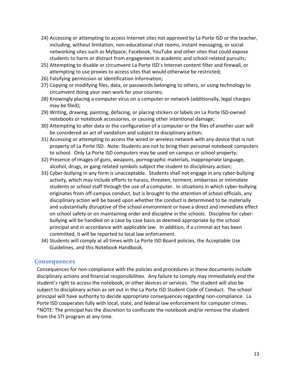- 24) Accessing or attempting to access Internet sites not approved by La Porte ISD or the teacher, including, without limitation, non-educational chat rooms, instant messaging, or social networking sites such as MySpace, Facebook, YouTube and other sites that could expose students to harm or distract from engagement in academic and school-related pursuits;
- 25) Attempting to disable or circumvent La Porte ISD's Internet content filter and firewall, or attempting to use proxies to access sites that would otherwise be restricted;
- 26) Falsifying permission or identification information;
- 27) Copying or modifying files, data, or passwords belonging to others, or using technology to circumvent doing your own work for your courses;
- 28) Knowingly placing a computer virus on a computer or network (additionally, legal charges may be filed);
- 29) Writing, drawing, painting, defacing, or placing stickers or labels on La Porte ISD-owned notebooks or notebook accessories, or causing other intentional damage;
- 30) Attempting to alter data or the configuration of a computer or the files of another user will be considered an act of vandalism and subject to disciplinary action;
- 31) Accessing or attempting to access the wired or wireless network with any device that is not property of La Porte ISD. Note: Students are not to bring their personal notebook computers to school. Only La Porte ISD computers may be used on campus or school property;
- 32) Presence of images of guns, weapons, pornographic materials, inappropriate language, alcohol, drugs, or gang-related symbols subject the student to disciplinary action;
- 33) Cyber-bullying in any form is unacceptable. Students shall not engage in any cyber-bullying activity, which may include efforts to harass, threaten, torment, embarrass or intimidate students or school staff through the use of a computer. In situations in which cyber-bullying originates from off-campus conduct, but is brought to the attention of school officials, any disciplinary action will be based upon whether the conduct is determined to be materially and substantially disruptive of the school environment or have a direct and immediate effect on school safety or on maintaining order and discipline in the schools. Discipline for cyberbullying will be handled on a case by case basis as deemed appropriate by the school principal and in accordance with applicable law. In addition, if a criminal act has been committed, it will be reported to local law enforcement.
- 34) Students will comply at all times with La Porte ISD Board policies, the Acceptable Use Guidelines, and this Notebook Handbook.

#### <span id="page-12-0"></span>**Consequences**

Consequences for non-compliance with the policies and procedures in these documents include disciplinary actions and financial responsibilities. Any failure to comply may immediately end the student's right to access the notebook, or other devices or services. The student will also be subject to disciplinary action as set out in the La Porte ISD Student Code of Conduct. The school principal will have authority to decide appropriate consequences regarding non-compliance. La Porte ISD cooperates fully with local, state, and federal law enforcement for computer crimes. \*NOTE: The principal has the discretion to confiscate the notebook and/or remove the student from the STI program at any time.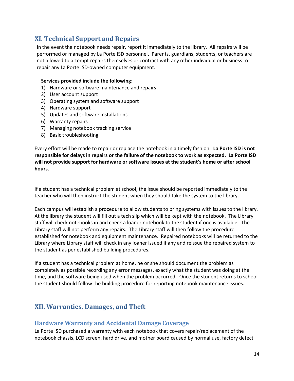# <span id="page-13-0"></span>**XI. Technical Support and Repairs**

In the event the notebook needs repair, report it immediately to the library. All repairs will be performed or managed by La Porte ISD personnel. Parents, guardians, students, or teachers are not allowed to attempt repairs themselves or contract with any other individual or business to repair any La Porte ISD-owned computer equipment.

#### **Services provided include the following:**

- 1) Hardware or software maintenance and repairs
- 2) User account support
- 3) Operating system and software support
- 4) Hardware support
- 5) Updates and software installations
- 6) Warranty repairs
- 7) Managing notebook tracking service
- 8) Basic troubleshooting

Every effort will be made to repair or replace the notebook in a timely fashion. **La Porte ISD is not responsible for delays in repairs or the failure of the notebook to work as expected. La Porte ISD will not provide support for hardware or software issues at the student's home or after school hours.**

If a student has a technical problem at school, the issue should be reported immediately to the teacher who will then instruct the student when they should take the system to the library.

Each campus will establish a procedure to allow students to bring systems with issues to the library. At the library the student will fill out a tech slip which will be kept with the notebook. The Library staff will check notebooks in and check a loaner notebook to the student if one is available. The Library staff will not perform any repairs. The Library staff will then follow the procedure established for notebook and equipment maintenance. Repaired notebooks will be returned to the Library where Library staff will check in any loaner issued if any and reissue the repaired system to the student as per established building procedures.

If a student has a technical problem at home, he or she should document the problem as completely as possible recording any error messages, exactly what the student was doing at the time, and the software being used when the problem occurred. Once the student returns to school the student should follow the building procedure for reporting notebook maintenance issues.

# <span id="page-13-1"></span>**XII. Warranties, Damages, and Theft**

#### <span id="page-13-2"></span>**Hardware Warranty and Accidental Damage Coverage**

La Porte ISD purchased a warranty with each notebook that covers repair/replacement of the notebook chassis, LCD screen, hard drive, and mother board caused by normal use, factory defect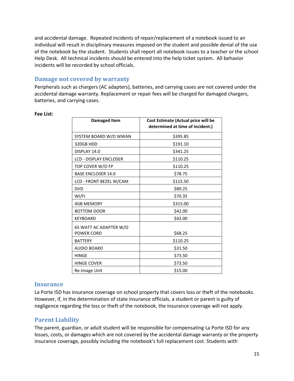and accidental damage. Repeated incidents of repair/replacement of a notebook issued to an individual will result in disciplinary measures imposed on the student and possible denial of the use of the notebook by the student. Students shall report all notebook issues to a teacher or the school Help Desk. All technical incidents should be entered into the help ticket system. All behavior incidents will be recorded by school officials.

#### <span id="page-14-0"></span>**Damage not covered by warranty**

Peripherals such as chargers (AC adapters), batteries, and carrying cases are not covered under the accidental damage warranty. Replacement or repair fees will be charged for damaged chargers, batteries, and carrying cases.

#### **Fee List:**

| <b>Damaged Item</b>                         | Cost Estimate (Actual price will be<br>determined at time of incident.) |  |
|---------------------------------------------|-------------------------------------------------------------------------|--|
| SYSTEM BOARD W/O WWAN                       | \$395.85                                                                |  |
| 320GB HDD                                   | \$191.10                                                                |  |
| DISPLAY 14.0                                | \$341.25                                                                |  |
| <b>LCD - DISPLAY ENCLOSER</b>               | \$110.25                                                                |  |
| TOP COVER W/O FP                            | \$110.25                                                                |  |
| <b>BASE ENCLOSER 14.0</b>                   | \$78.75                                                                 |  |
| LCD - FRONT BEZEL W/CAM                     | \$115.50                                                                |  |
| <b>DVD</b>                                  | \$89.25                                                                 |  |
| WI/FI                                       | \$70.35                                                                 |  |
| <b>4GB MEMORY</b>                           | \$315.00                                                                |  |
| <b>BOTTOM DOOR</b>                          | \$42.00                                                                 |  |
| <b>KEYBOARD</b>                             | \$42.00                                                                 |  |
| 65 WATT AC ADAPTER W/O<br><b>POWER CORD</b> | \$68.25                                                                 |  |
| <b>BATTERY</b>                              | \$110.25                                                                |  |
| <b>AUDIO BOARD</b>                          | \$31.50                                                                 |  |
| <b>HINGE</b>                                | \$73.50                                                                 |  |
| <b>HINGE COVER</b>                          | \$73.50                                                                 |  |
| Re-Image Unit                               | \$15.00                                                                 |  |

#### <span id="page-14-1"></span>**Insurance**

La Porte ISD has insurance coverage on school property that covers loss or theft of the notebooks. However, if, in the determination of state insurance officials, a student or parent is guilty of negligence regarding the loss or theft of the notebook, the insurance coverage will not apply.

## <span id="page-14-2"></span>**Parent Liability**

The parent, guardian, or adult student will be responsible for compensating La Porte ISD for any losses, costs, or damages which are not covered by the accidental damage warranty or the property insurance coverage, possibly including the notebook's full replacement cost. Students with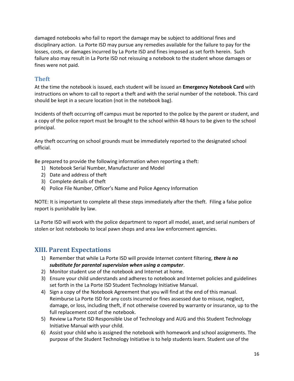damaged notebooks who fail to report the damage may be subject to additional fines and disciplinary action. La Porte ISD may pursue any remedies available for the failure to pay for the losses, costs, or damages incurred by La Porte ISD and fines imposed as set forth herein. Such failure also may result in La Porte ISD not reissuing a notebook to the student whose damages or fines were not paid.

## <span id="page-15-0"></span>**Theft**

At the time the notebook is issued, each student will be issued an **Emergency Notebook Card** with instructions on whom to call to report a theft and with the serial number of the notebook. This card should be kept in a secure location (not in the notebook bag).

Incidents of theft occurring off campus must be reported to the police by the parent or student, and a copy of the police report must be brought to the school within 48 hours to be given to the school principal.

Any theft occurring on school grounds must be immediately reported to the designated school official.

Be prepared to provide the following information when reporting a theft:

- 1) Notebook Serial Number, Manufacturer and Model
- 2) Date and address of theft
- 3) Complete details of theft
- 4) Police File Number, Officer's Name and Police Agency Information

NOTE: It is important to complete all these steps immediately after the theft. Filing a false police report is punishable by law.

La Porte ISD will work with the police department to report all model, asset, and serial numbers of stolen or lost notebooks to local pawn shops and area law enforcement agencies.

# <span id="page-15-1"></span>**XIII. Parent Expectations**

- 1) Remember that while La Porte ISD will provide Internet content filtering, *there is no substitute for parental supervision when using a computer*.
- 2) Monitor student use of the notebook and Internet at home.
- 3) Ensure your child understands and adheres to notebook and Internet policies and guidelines set forth in the La Porte ISD Student Technology Initiative Manual.
- 4) Sign a copy of the Notebook Agreement that you will find at the end of this manual. Reimburse La Porte ISD for any costs incurred or fines assessed due to misuse, neglect, damage, or loss, including theft, if not otherwise covered by warranty or insurance, up to the full replacement cost of the notebook.
- 5) Review La Porte ISD Responsible Use of Technology and AUG and this Student Technology Initiative Manual with your child.
- 6) Assist your child who is assigned the notebook with homework and school assignments. The purpose of the Student Technology Initiative is to help students learn. Student use of the